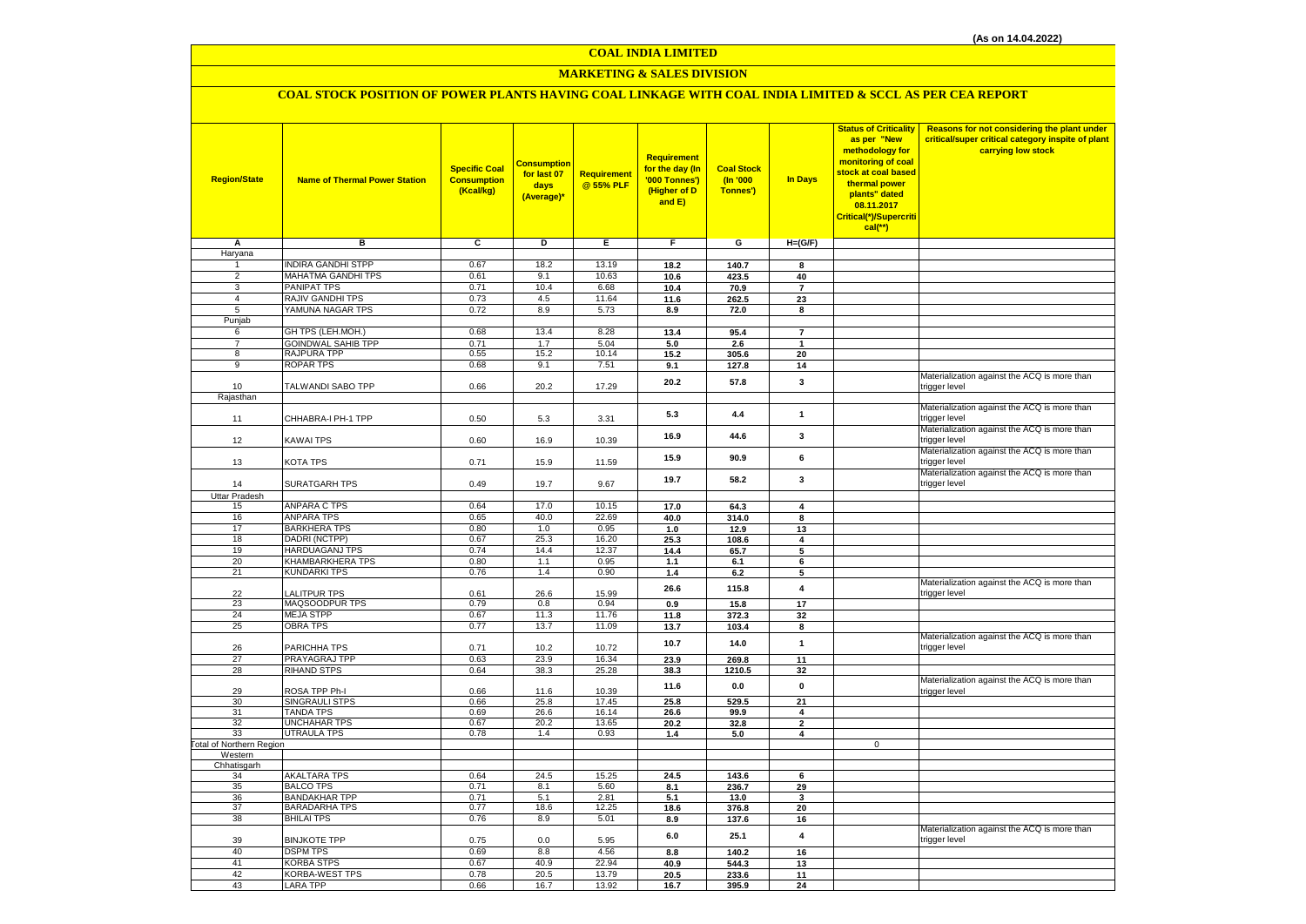# **MARKETING & SALES DIVISION**

# **COAL STOCK POSITION OF POWER PLANTS HAVING COAL LINKAGE WITH COAL INDIA LIMITED & SCCL AS PER CEA REPORT**

| <b>Region/State</b>              | <b>Name of Thermal Power Station</b>      | <b>Specific Coal</b><br><b>Consumption</b><br>(Kcal/kg) | Consumption<br>for last 07<br>days<br>(Average)* | Requirement<br>@ 55% PLF | Requirement<br>for the day (In<br>'000 Tonnes')<br>(Higher of D<br>and E) | <b>Coal Stock</b><br>(n'000)<br>Tonnes') | In Days                 | <b>Status of Criticality</b><br>as per "New<br>methodology for<br>monitoring of coal<br>stock at coal based<br>thermal power<br>plants" dated<br>08.11.2017<br>Critical(*)/Supercriti<br>$cal$ (**) | Reasons for not considering the plant under<br>critical/super critical category inspite of plant<br>carrying low stock |
|----------------------------------|-------------------------------------------|---------------------------------------------------------|--------------------------------------------------|--------------------------|---------------------------------------------------------------------------|------------------------------------------|-------------------------|-----------------------------------------------------------------------------------------------------------------------------------------------------------------------------------------------------|------------------------------------------------------------------------------------------------------------------------|
| Α                                | в                                         | c                                                       | D                                                | Е                        | F.                                                                        | G                                        | $H=(G/F)$               |                                                                                                                                                                                                     |                                                                                                                        |
| Haryana                          |                                           |                                                         |                                                  |                          |                                                                           |                                          |                         |                                                                                                                                                                                                     |                                                                                                                        |
| 1                                | <b>INDIRA GANDHI STPP</b>                 | 0.67                                                    | 18.2                                             | 13.19                    | 18.2                                                                      | 140.7                                    | 8                       |                                                                                                                                                                                                     |                                                                                                                        |
| $\overline{2}$                   | MAHATMA GANDHI TPS                        | 0.61                                                    | 9.1                                              | 10.63                    | 10.6                                                                      | 423.5                                    | 40                      |                                                                                                                                                                                                     |                                                                                                                        |
| $\overline{3}$<br>$\overline{4}$ | PANIPAT TPS<br>RAJIV GANDHI TPS           | 0.71<br>0.73                                            | 10.4<br>4.5                                      | 6.68<br>11.64            | 10.4                                                                      | 70.9                                     | $\overline{\mathbf{r}}$ |                                                                                                                                                                                                     |                                                                                                                        |
| 5                                | YAMUNA NAGAR TPS                          | 0.72                                                    | 8.9                                              | 5.73                     | 11.6                                                                      | 262.5                                    | 23<br>8                 |                                                                                                                                                                                                     |                                                                                                                        |
| Punjab                           |                                           |                                                         |                                                  |                          | 8.9                                                                       | 72.0                                     |                         |                                                                                                                                                                                                     |                                                                                                                        |
| 6                                | GH TPS (LEH.MOH.)                         | 0.68                                                    | 13.4                                             | 8.28                     | 13.4                                                                      | 95.4                                     | $\overline{7}$          |                                                                                                                                                                                                     |                                                                                                                        |
| $\overline{7}$                   | <b>GOINDWAL SAHIB TPP</b>                 | 0.71                                                    | 1.7                                              | 5.04                     | 5.0                                                                       | 2.6                                      | $\overline{1}$          |                                                                                                                                                                                                     |                                                                                                                        |
| 8                                | RAJPURA TPP                               | 0.55                                                    | 15.2                                             | 10.14                    | 15.2                                                                      | 305.6                                    | 20                      |                                                                                                                                                                                                     |                                                                                                                        |
| $\overline{9}$                   | <b>ROPAR TPS</b>                          | 0.68                                                    | 9.1                                              | 7.51                     | 9.1                                                                       | 127.8                                    | 14                      |                                                                                                                                                                                                     |                                                                                                                        |
|                                  |                                           |                                                         |                                                  |                          | 20.2                                                                      | 57.8                                     | 3                       |                                                                                                                                                                                                     | Materialization against the ACQ is more than                                                                           |
| 10                               | TALWANDI SABO TPP                         | 0.66                                                    | 20.2                                             | 17.29                    |                                                                           |                                          |                         |                                                                                                                                                                                                     | trigger level                                                                                                          |
| Rajasthan                        |                                           |                                                         |                                                  |                          |                                                                           |                                          |                         |                                                                                                                                                                                                     | Materialization against the ACQ is more than                                                                           |
|                                  | CHHABRA-I PH-1 TPP                        | 0.50                                                    |                                                  |                          | 5.3                                                                       | 4.4                                      | $\mathbf{1}$            |                                                                                                                                                                                                     | trigger level                                                                                                          |
| 11                               |                                           |                                                         | 5.3                                              | 3.31                     |                                                                           |                                          |                         |                                                                                                                                                                                                     | Materialization against the ACQ is more than                                                                           |
| 12                               | KAWAI TPS                                 | 0.60                                                    | 16.9                                             | 10.39                    | 16.9                                                                      | 44.6                                     | 3                       |                                                                                                                                                                                                     | trigger level                                                                                                          |
|                                  |                                           |                                                         |                                                  |                          |                                                                           |                                          |                         |                                                                                                                                                                                                     | Materialization against the ACQ is more than                                                                           |
| 13                               | KOTA TPS                                  | 0.71                                                    | 15.9                                             | 11.59                    | 15.9                                                                      | 90.9                                     | 6                       |                                                                                                                                                                                                     | trigger level                                                                                                          |
|                                  |                                           |                                                         |                                                  |                          | 19.7                                                                      | 58.2                                     | 3                       |                                                                                                                                                                                                     | Materialization against the ACQ is more than                                                                           |
| 14                               | <b>SURATGARH TPS</b>                      | 0.49                                                    | 19.7                                             | 9.67                     |                                                                           |                                          |                         |                                                                                                                                                                                                     | trigger level                                                                                                          |
| <b>Uttar Pradesh</b>             |                                           |                                                         |                                                  |                          |                                                                           |                                          |                         |                                                                                                                                                                                                     |                                                                                                                        |
| 15                               | <b>ANPARA C TPS</b>                       | 0.64                                                    | 17.0                                             | 10.15                    | 17.0                                                                      | 64.3                                     | 4                       |                                                                                                                                                                                                     |                                                                                                                        |
| 16                               | <b>ANPARA TPS</b>                         | 0.65                                                    | 40.0                                             | 22.69                    | 40.0                                                                      | 314.0                                    | 8                       |                                                                                                                                                                                                     |                                                                                                                        |
| 17<br>18                         | <b>BARKHERA TPS</b><br>DADRI (NCTPP)      | 0.80<br>0.67                                            | 1.0<br>25.3                                      | 0.95<br>16.20            | 1.0<br>25.3                                                               | 12.9                                     | 13<br>4                 |                                                                                                                                                                                                     |                                                                                                                        |
| 19                               | HARDUAGANJ TPS                            | 0.74                                                    | 14.4                                             | 12.37                    | 14.4                                                                      | 108.6<br>65.7                            | 5                       |                                                                                                                                                                                                     |                                                                                                                        |
| 20                               | KHAMBARKHERA TPS                          | 0.80                                                    | 1.1                                              | 0.95                     | 1.1                                                                       | 6.1                                      | 6                       |                                                                                                                                                                                                     |                                                                                                                        |
| 21                               | <b>KUNDARKI TPS</b>                       | 0.76                                                    | 1.4                                              | 0.90                     | 1.4                                                                       | $6.2\,$                                  | 5                       |                                                                                                                                                                                                     |                                                                                                                        |
|                                  |                                           |                                                         |                                                  |                          | 26.6                                                                      | 115.8                                    | $\overline{4}$          |                                                                                                                                                                                                     | Materialization against the ACQ is more than                                                                           |
| 22                               | <b>ALITPUR TPS</b>                        | 0.61                                                    | 26.6                                             | 15.99                    |                                                                           |                                          |                         |                                                                                                                                                                                                     | trigger level                                                                                                          |
| 23                               | MAQSOODPUR TPS                            | 0.79                                                    | 0.8                                              | 0.94                     | 0.9                                                                       | 15.8                                     | 17                      |                                                                                                                                                                                                     |                                                                                                                        |
| 24                               | <b>MEJA STPP</b>                          | 0.67                                                    | 11.3                                             | 11.76                    | 11.8                                                                      | 372.3                                    | 32                      |                                                                                                                                                                                                     |                                                                                                                        |
| 25                               | <b>OBRA TPS</b>                           | 0.77                                                    | 13.7                                             | 11.09                    | 13.7                                                                      | 103.4                                    | 8                       |                                                                                                                                                                                                     | Materialization against the ACQ is more than                                                                           |
| 26                               | PARICHHA TPS                              | 0.71                                                    | 10.2                                             | 10.72                    | 10.7                                                                      | 14.0                                     | $\mathbf{1}$            |                                                                                                                                                                                                     | trigger level                                                                                                          |
| 27                               | PRAYAGRAJ TPP                             | 0.63                                                    | 23.9                                             | 16.34                    | 23.9                                                                      | 269.8                                    | 11                      |                                                                                                                                                                                                     |                                                                                                                        |
| 28                               | <b>RIHAND STPS</b>                        | 0.64                                                    | 38.3                                             | 25.28                    | 38.3                                                                      | 1210.5                                   | 32                      |                                                                                                                                                                                                     |                                                                                                                        |
|                                  |                                           |                                                         |                                                  |                          | 11.6                                                                      | 0.0                                      | $\mathbf 0$             |                                                                                                                                                                                                     | Materialization against the ACQ is more than                                                                           |
| 29                               | ROSA TPP Ph-I                             | 0.66                                                    | 11.6                                             | 10.39                    |                                                                           |                                          |                         |                                                                                                                                                                                                     | trigger level                                                                                                          |
| 30                               | SINGRAULI STPS                            | 0.66                                                    | 25.8                                             | 17.45                    | 25.8                                                                      | 529.5                                    | 21                      |                                                                                                                                                                                                     |                                                                                                                        |
| 31                               | <b>TANDA TPS</b><br>UNCHAHAR TPS          | 0.69                                                    | 26.6                                             | 16.14                    | 26.6                                                                      | 99.9                                     | 4                       |                                                                                                                                                                                                     |                                                                                                                        |
| 32<br>33                         | <b>UTRAULA TPS</b>                        | 0.67<br>0.78                                            | 20.2<br>$1.4\,$                                  | 13.65<br>0.93            | 20.2<br>1.4                                                               | 32.8<br>5.0                              | $\mathbf{2}$<br>4       |                                                                                                                                                                                                     |                                                                                                                        |
| Total of Northern Region         |                                           |                                                         |                                                  |                          |                                                                           |                                          |                         | $\mathbf 0$                                                                                                                                                                                         |                                                                                                                        |
| Western                          |                                           |                                                         |                                                  |                          |                                                                           |                                          |                         |                                                                                                                                                                                                     |                                                                                                                        |
| Chhatisgarh                      |                                           |                                                         |                                                  |                          |                                                                           |                                          |                         |                                                                                                                                                                                                     |                                                                                                                        |
| 34                               | <b>AKALTARA TPS</b>                       | 0.64                                                    | 24.5                                             | 15.25                    | 24.5                                                                      | 143.6                                    | 6                       |                                                                                                                                                                                                     |                                                                                                                        |
| 35                               | <b>BALCO TPS</b>                          | 0.71                                                    | 8.1                                              | 5.60                     | 8.1                                                                       | 236.7                                    | 29                      |                                                                                                                                                                                                     |                                                                                                                        |
| 36                               | <b>BANDAKHAR TPP</b>                      | 0.71                                                    | 5.1                                              | 2.81                     | 5.1                                                                       | 13.0                                     | 3                       |                                                                                                                                                                                                     |                                                                                                                        |
| 37<br>38                         | <b>BARADARHA TPS</b><br><b>BHILAI TPS</b> | 0.77<br>0.76                                            | 18.6<br>8.9                                      | 12.25                    | 18.6                                                                      | 376.8                                    | 20                      |                                                                                                                                                                                                     |                                                                                                                        |
|                                  |                                           |                                                         |                                                  | 5.01                     | 8.9                                                                       | 137.6                                    | 16                      |                                                                                                                                                                                                     | Materialization against the ACQ is more than                                                                           |
| 39                               | <b>BINJKOTE TPP</b>                       | 0.75                                                    | 0.0                                              | 5.95                     | 6.0                                                                       | 25.1                                     | 4                       |                                                                                                                                                                                                     | trigger level                                                                                                          |
| 40                               | <b>DSPM TPS</b>                           | 0.69                                                    | 8.8                                              | 4.56                     | 8.8                                                                       | 140.2                                    | 16                      |                                                                                                                                                                                                     |                                                                                                                        |
| 41                               | <b>KORBA STPS</b>                         | 0.67                                                    | 40.9                                             | 22.94                    | 40.9                                                                      | 544.3                                    | 13                      |                                                                                                                                                                                                     |                                                                                                                        |
| 42                               | KORBA-WEST TPS                            | 0.78                                                    | 20.5                                             | 13.79                    | 20.5                                                                      | 233.6                                    | 11                      |                                                                                                                                                                                                     |                                                                                                                        |
| 43                               | LARA TPP                                  | 0.66                                                    | 16.7                                             | 13.92                    | 16.7                                                                      | 395.9                                    | 24                      |                                                                                                                                                                                                     |                                                                                                                        |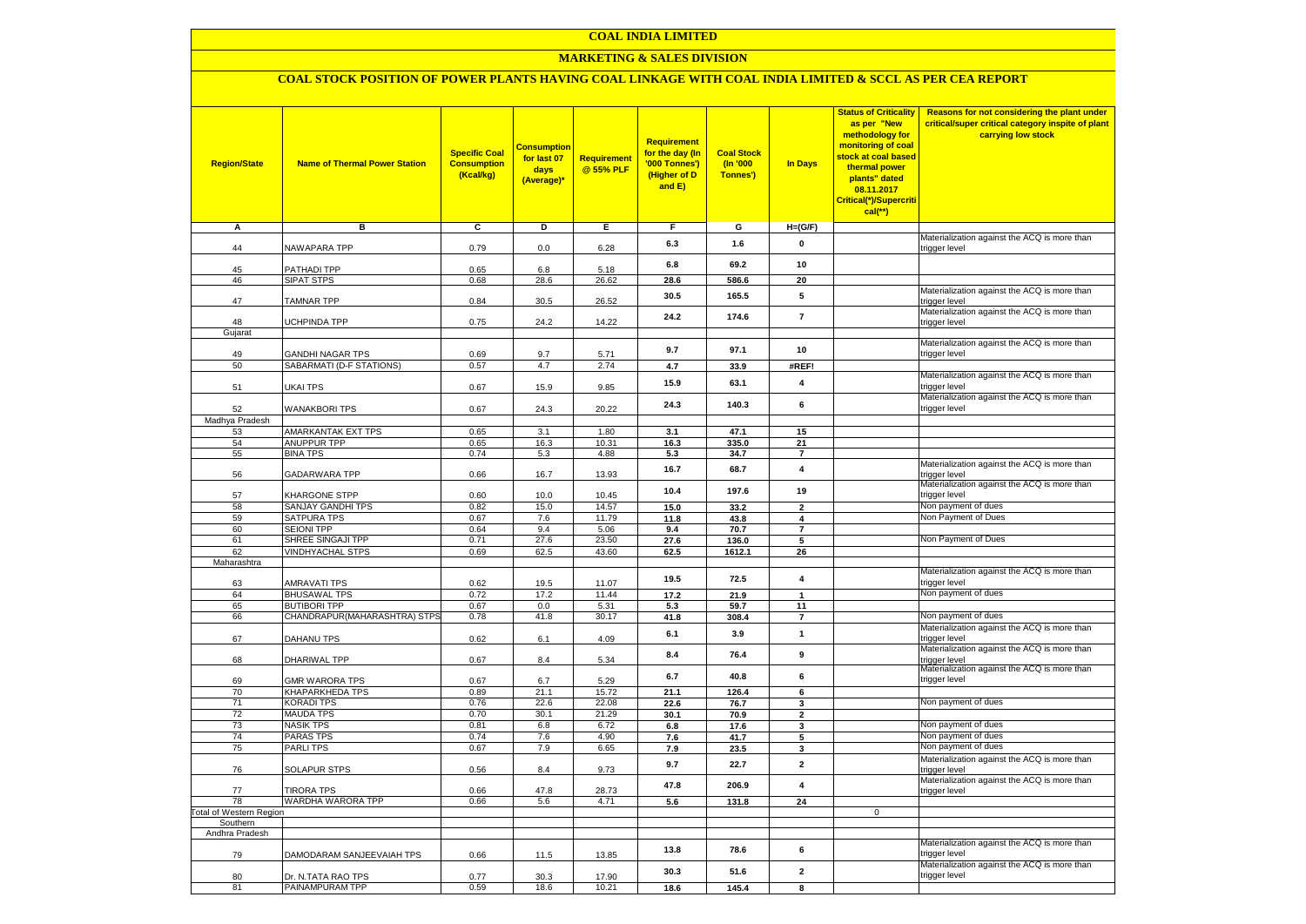### **MARKETING & SALES DIVISION**

### **COAL STOCK POSITION OF POWER PLANTS HAVING COAL LINKAGE WITH COAL INDIA LIMITED & SCCL AS PER CEA REPORT**

| <b>Region/State</b>                | <b>Name of Thermal Power Station</b>         | <b>Specific Coal</b><br><b>Consumption</b><br>(Kcal/kg) | <mark>Consumption</mark><br>for last 07<br>days<br>(Average)* | <b>Requirement</b><br>@ 55% PLF | <b>Requirement</b><br>for the day (In<br>'000 Tonnes')<br>(Higher of D<br>and E) | <b>Coal Stock</b><br>(In '000<br>Tonnes') | <b>In Days</b>          | <b>Status of Criticality</b><br>as per "New<br>methodology for<br>monitoring of coal<br>stock at coal based<br>thermal power<br>plants" dated<br>08.11.2017<br>Critical(*)/Supercriti<br>$cal$ (**) | Reasons for not considering the plant under<br>critical/super critical category inspite of plant<br>carrying low stock |
|------------------------------------|----------------------------------------------|---------------------------------------------------------|---------------------------------------------------------------|---------------------------------|----------------------------------------------------------------------------------|-------------------------------------------|-------------------------|-----------------------------------------------------------------------------------------------------------------------------------------------------------------------------------------------------|------------------------------------------------------------------------------------------------------------------------|
| Α                                  | в                                            | c                                                       | Þ                                                             | Е                               | F                                                                                | G                                         | $H=(G/F)$               |                                                                                                                                                                                                     |                                                                                                                        |
| 44                                 | <b>NAWAPARA TPP</b>                          | 0.79                                                    | 0.0                                                           | 6.28                            | 6.3                                                                              | 1.6                                       | 0                       |                                                                                                                                                                                                     | Materialization against the ACQ is more than                                                                           |
|                                    |                                              |                                                         |                                                               |                                 |                                                                                  |                                           |                         |                                                                                                                                                                                                     | trigger level                                                                                                          |
| 45                                 | <b>PATHADI TPP</b>                           | 0.65                                                    | 6.8                                                           | 5.18                            | 6.8                                                                              | 69.2                                      | 10                      |                                                                                                                                                                                                     |                                                                                                                        |
| 46                                 | SIPAT STPS                                   | 0.68                                                    | 28.6                                                          | 26.62                           | 28.6                                                                             | 586.6                                     | 20                      |                                                                                                                                                                                                     |                                                                                                                        |
| 47                                 | <b>TAMNAR TPP</b>                            | 0.84                                                    | 30.5                                                          | 26.52                           | 30.5                                                                             | 165.5                                     | 5                       |                                                                                                                                                                                                     | Materialization against the ACQ is more than<br>trigger level                                                          |
| 48                                 | <b>JCHPINDA TPP</b>                          | 0.75                                                    | 24.2                                                          | 14.22                           | 24.2                                                                             | 174.6                                     | $\overline{\mathbf{r}}$ |                                                                                                                                                                                                     | Materialization against the ACQ is more than<br>trigger level                                                          |
| Gujarat                            |                                              |                                                         |                                                               |                                 |                                                                                  |                                           |                         |                                                                                                                                                                                                     |                                                                                                                        |
|                                    |                                              |                                                         |                                                               |                                 | 9.7                                                                              | 97.1                                      | 10                      |                                                                                                                                                                                                     | Materialization against the ACQ is more than                                                                           |
| 49                                 | <b>GANDHI NAGAR TPS</b>                      | 0.69                                                    | 9.7                                                           | 5.71                            |                                                                                  |                                           |                         |                                                                                                                                                                                                     | trigger level                                                                                                          |
| 50                                 | SABARMATI (D-F STATIONS)                     | 0.57                                                    | 4.7                                                           | 2.74                            | 4.7                                                                              | 33.9                                      | #REF!                   |                                                                                                                                                                                                     | Materialization against the ACQ is more than                                                                           |
| 51                                 | UKAI TPS                                     | 0.67                                                    | 15.9                                                          | 9.85                            | 15.9                                                                             | 63.1                                      | $\overline{\mathbf{4}}$ |                                                                                                                                                                                                     | trigger level<br>Materialization against the ACQ is more than                                                          |
| 52                                 | <b>WANAKBORI TPS</b>                         | 0.67                                                    | 24.3                                                          | 20.22                           | 24.3                                                                             | 140.3                                     | 6                       |                                                                                                                                                                                                     | trigger level                                                                                                          |
| Madhya Pradesh                     | AMARKANTAK EXT TPS                           | 0.65                                                    | 3.1                                                           | 1.80                            |                                                                                  |                                           |                         |                                                                                                                                                                                                     |                                                                                                                        |
| 53<br>54                           | <b>ANUPPUR TPP</b>                           | 0.65                                                    | 16.3                                                          | 10.31                           | 3.1<br>16.3                                                                      | 47.1<br>335.0                             | 15<br>21                |                                                                                                                                                                                                     |                                                                                                                        |
| 55                                 | <b>BINA TPS</b>                              | 0.74                                                    | 5.3                                                           | 4.88                            | 5.3                                                                              | 34.7                                      | $\overline{7}$          |                                                                                                                                                                                                     |                                                                                                                        |
| 56                                 | GADARWARA TPP                                | 0.66                                                    | 16.7                                                          | 13.93                           | 16.7                                                                             | 68.7                                      | $\overline{\mathbf{4}}$ |                                                                                                                                                                                                     | Materialization against the ACQ is more than<br>trigger level                                                          |
| 57                                 | KHARGONE STPP                                | 0.60                                                    | 10.0                                                          | 10.45                           | 10.4                                                                             | 197.6                                     | 19                      |                                                                                                                                                                                                     | Materialization against the ACQ is more than<br>trigger level                                                          |
| 58                                 | SANJAY GANDHI TPS                            | 0.82                                                    | 15.0                                                          | 14.57                           | 15.0                                                                             | 33.2                                      | $\overline{\mathbf{2}}$ |                                                                                                                                                                                                     | Non payment of dues                                                                                                    |
| 59                                 | SATPURA TPS                                  | 0.67                                                    | 7.6                                                           | 11.79                           | 11.8                                                                             | 43.8                                      | 4                       |                                                                                                                                                                                                     | Non Payment of Dues                                                                                                    |
| 60                                 | <b>SEIONI TPP</b>                            | 0.64                                                    | 9.4                                                           | 5.06                            | 9.4                                                                              | 70.7                                      | $\overline{\mathbf{r}}$ |                                                                                                                                                                                                     |                                                                                                                        |
| 61<br>62                           | SHREE SINGAJI TPP<br><b>VINDHYACHAL STPS</b> | 0.71<br>0.69                                            | 27.6<br>62.5                                                  | 23.50<br>43.60                  | 27.6<br>62.5                                                                     | 136.0<br>1612.1                           | 5<br>26                 |                                                                                                                                                                                                     | Non Payment of Dues                                                                                                    |
| Maharashtra                        |                                              |                                                         |                                                               |                                 |                                                                                  |                                           |                         |                                                                                                                                                                                                     |                                                                                                                        |
|                                    |                                              |                                                         |                                                               |                                 | 19.5                                                                             | 72.5                                      | $\overline{\mathbf{4}}$ |                                                                                                                                                                                                     | Materialization against the ACQ is more than                                                                           |
| 63                                 | AMRAVATI TPS                                 | 0.62                                                    | 19.5                                                          | 11.07                           |                                                                                  |                                           |                         |                                                                                                                                                                                                     | trigger level                                                                                                          |
| 64<br>65                           | <b>BHUSAWAL TPS</b><br><b>BUTIBORI TPP</b>   | 0.72<br>0.67                                            | 17.2<br>0.0                                                   | 11.44<br>5.31                   | 17.2                                                                             | 21.9                                      | $\mathbf{1}$            |                                                                                                                                                                                                     | Non payment of dues                                                                                                    |
| 66                                 | CHANDRAPUR(MAHARASHTRA) STPS                 | 0.78                                                    | 41.8                                                          | 30.17                           | 5.3<br>41.8                                                                      | 59.7<br>308.4                             | 11<br>$\overline{7}$    |                                                                                                                                                                                                     | Non payment of dues                                                                                                    |
|                                    |                                              |                                                         |                                                               |                                 |                                                                                  |                                           |                         |                                                                                                                                                                                                     | Materialization against the ACQ is more than                                                                           |
| 67                                 | DAHANU TPS                                   | 0.62                                                    | 6.1                                                           | 4.09                            | 6.1                                                                              | 3.9                                       | $\mathbf{1}$            |                                                                                                                                                                                                     | trigger level                                                                                                          |
| 68                                 | DHARIWAL TPP                                 | 0.67                                                    | 8.4                                                           | 5.34                            | 8.4                                                                              | 76.4                                      | 9                       |                                                                                                                                                                                                     | Materialization against the ACQ is more than<br>trigger level                                                          |
| 69                                 | <b>GMR WARORA TPS</b>                        | 0.67                                                    | 6.7                                                           | 5.29                            | 6.7                                                                              | 40.8                                      | 6                       |                                                                                                                                                                                                     | Materialization against the ACQ is more than<br>trigger level                                                          |
| 70                                 | KHAPARKHEDA TPS                              | 0.89                                                    | 21.1                                                          | 15.72<br>22.08                  | 21.1                                                                             | 126.4                                     | 6                       |                                                                                                                                                                                                     | Non payment of dues                                                                                                    |
| 71<br>72                           | KORADI TPS<br><b>MAUDA TPS</b>               | 0.76<br>0.70                                            | 22.6<br>30.1                                                  | 21.29                           | 22.6<br>30.1                                                                     | 76.7<br>70.9                              | 3<br>$\mathbf{2}$       |                                                                                                                                                                                                     |                                                                                                                        |
| 73                                 | <b>NASIK TPS</b>                             | 0.81                                                    | 6.8                                                           | 6.72                            | 6.8                                                                              | 17.6                                      | 3                       |                                                                                                                                                                                                     | Non payment of dues                                                                                                    |
| 74                                 | <b>PARAS TPS</b>                             | 0.74                                                    | 7.6                                                           | 4.90                            | 7.6                                                                              | 41.7                                      | 5                       |                                                                                                                                                                                                     | Non payment of dues                                                                                                    |
| 75                                 | <b>PARLITPS</b>                              | 0.67                                                    | 7.9                                                           | 6.65                            | 7.9                                                                              | 23.5                                      | 3                       |                                                                                                                                                                                                     | Non payment of dues                                                                                                    |
| 76                                 | <b>SOLAPUR STPS</b>                          | 0.56                                                    | 8.4                                                           | 9.73                            | 9.7                                                                              | 22.7                                      | $\overline{2}$          |                                                                                                                                                                                                     | Materialization against the ACQ is more than<br>trigger level                                                          |
| 77                                 | <b>TIRORA TPS</b>                            | 0.66                                                    | 47.8                                                          | 28.73                           | 47.8                                                                             | 206.9                                     | $\overline{\mathbf{4}}$ |                                                                                                                                                                                                     | Materialization against the ACQ is more than<br>trigger level                                                          |
| 78                                 | WARDHA WARORA TPP                            | 0.66                                                    | 5.6                                                           | 4.71                            | 5.6                                                                              | 131.8                                     | 24                      |                                                                                                                                                                                                     |                                                                                                                        |
| otal of Western Region<br>Southern |                                              |                                                         |                                                               |                                 |                                                                                  |                                           |                         | $\mathbf 0$                                                                                                                                                                                         |                                                                                                                        |
| Andhra Pradesh                     |                                              |                                                         |                                                               |                                 |                                                                                  |                                           |                         |                                                                                                                                                                                                     |                                                                                                                        |
| 79                                 | DAMODARAM SANJEEVAIAH TPS                    | 0.66                                                    | 11.5                                                          | 13.85                           | 13.8                                                                             | 78.6                                      | 6                       |                                                                                                                                                                                                     | Materialization against the ACQ is more than<br>trigger level                                                          |
| 80                                 | Dr. N.TATA RAO TPS                           | 0.77                                                    | 30.3                                                          | 17.90                           | 30.3                                                                             | 51.6                                      | $\mathbf{2}$            |                                                                                                                                                                                                     | Materialization against the ACQ is more than<br>trigger level                                                          |
| 81                                 | PAINAMPURAM TPP                              | 0.59                                                    | 18.6                                                          | 10.21                           | 18.6                                                                             | 145.4                                     | 8                       |                                                                                                                                                                                                     |                                                                                                                        |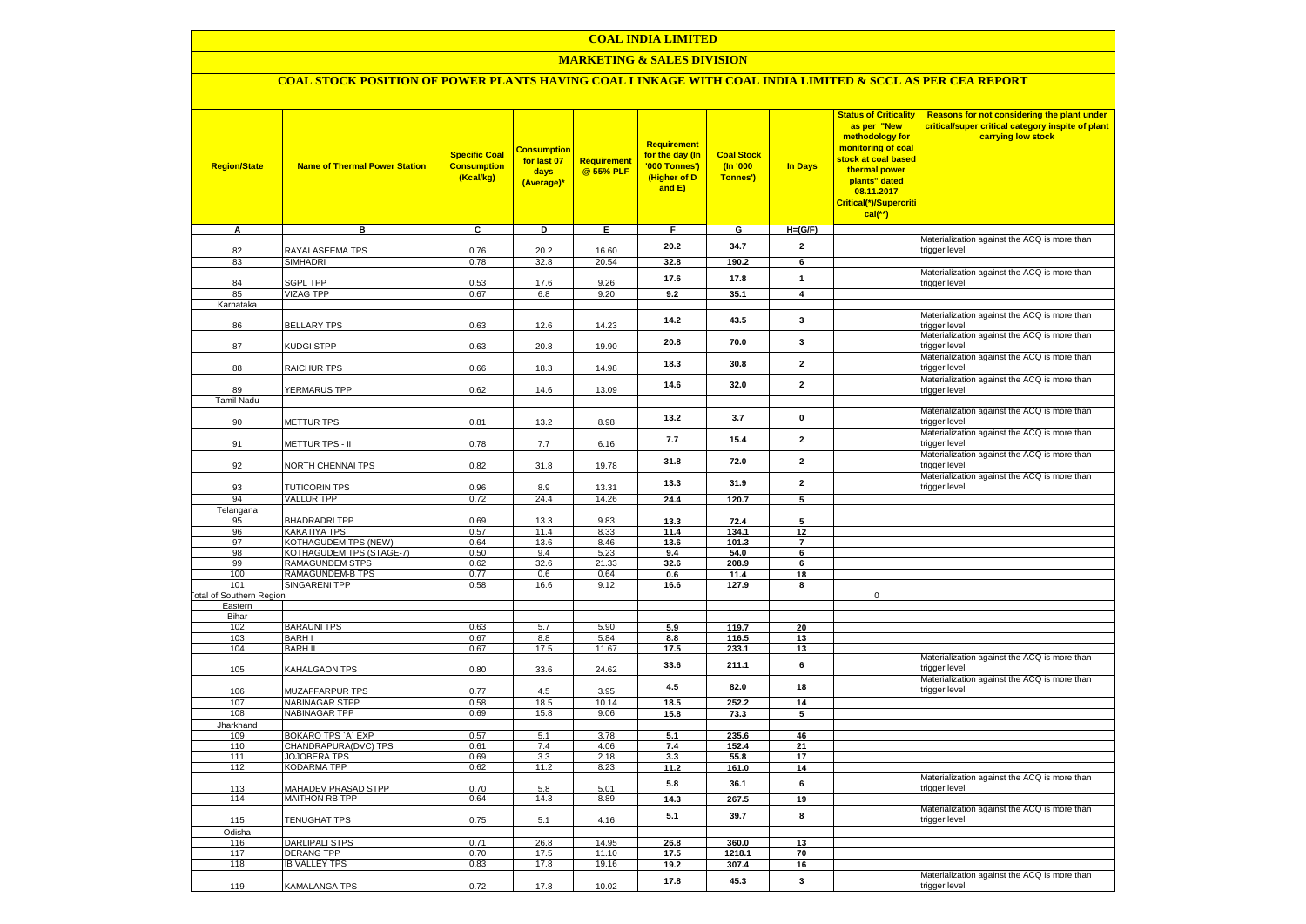### **MARKETING & SALES DIVISION**

# **COAL STOCK POSITION OF POWER PLANTS HAVING COAL LINKAGE WITH COAL INDIA LIMITED & SCCL AS PER CEA REPORT**

| <b>Region/State</b>             | <b>Name of Thermal Power Station</b>                | <b>Specific Coal</b><br><b>Consumption</b><br>(Kcal/kg) | <b>Consumption</b><br>for last 07<br>days<br>(Average)* | <b>Requirement</b><br>@ 55% PLF | <b>Requirement</b><br>for the day (In<br>'000 Tonnes')<br>(Higher of D<br>and E) | <b>Coal Stock</b><br>$($ ln '000<br>Tonnes') | In Days                 | <b>Status of Criticality</b><br>as per "New<br>methodology for<br>monitoring of coal<br>stock at coal based<br>thermal power<br>plants" dated<br>08.11.2017<br>Critical(*)/Supercriti<br>$cal$ (**) | Reasons for not considering the plant under<br>critical/super critical category inspite of plant<br>carrying low stock |
|---------------------------------|-----------------------------------------------------|---------------------------------------------------------|---------------------------------------------------------|---------------------------------|----------------------------------------------------------------------------------|----------------------------------------------|-------------------------|-----------------------------------------------------------------------------------------------------------------------------------------------------------------------------------------------------|------------------------------------------------------------------------------------------------------------------------|
| A                               | в                                                   | c                                                       | D                                                       | Е                               | F.                                                                               | G                                            | $H=(G/F)$               |                                                                                                                                                                                                     |                                                                                                                        |
| 82                              | RAYALASEEMA TPS                                     | 0.76                                                    | 20.2                                                    | 16.60                           | 20.2                                                                             | 34.7                                         | $\mathbf{2}$            |                                                                                                                                                                                                     | Materialization against the ACQ is more than                                                                           |
| 83                              | SIMHADRI                                            | 0.78                                                    | 32.8                                                    | 20.54                           | 32.8                                                                             | 190.2                                        | 6                       |                                                                                                                                                                                                     | trigger level                                                                                                          |
|                                 |                                                     |                                                         |                                                         |                                 |                                                                                  |                                              |                         |                                                                                                                                                                                                     | Materialization against the ACQ is more than                                                                           |
| 84                              | <b>SGPL TPP</b>                                     | 0.53                                                    | 17.6                                                    | 9.26                            | 17.6                                                                             | 17.8                                         | $\mathbf{1}$            |                                                                                                                                                                                                     | trigger level                                                                                                          |
| 85                              | <b>VIZAG TPP</b>                                    | 0.67                                                    | 6.8                                                     | 9.20                            | 9.2                                                                              | 35.1                                         | $\overline{\mathbf{4}}$ |                                                                                                                                                                                                     |                                                                                                                        |
| Karnataka                       |                                                     |                                                         |                                                         |                                 |                                                                                  |                                              |                         |                                                                                                                                                                                                     |                                                                                                                        |
| 86                              | <b>BELLARY TPS</b>                                  | 0.63                                                    | 12.6                                                    | 14.23                           | 14.2                                                                             | 43.5                                         | 3                       |                                                                                                                                                                                                     | Materialization against the ACQ is more than<br>trigger level                                                          |
| 87                              | KUDGI STPP                                          | 0.63                                                    | 20.8                                                    | 19.90                           | 20.8                                                                             | 70.0                                         | 3                       |                                                                                                                                                                                                     | Materialization against the ACQ is more than<br>trigger level                                                          |
| 88                              | <b>RAICHUR TPS</b>                                  | 0.66                                                    | 18.3                                                    | 14.98                           | 18.3                                                                             | 30.8                                         | $\overline{2}$          |                                                                                                                                                                                                     | Materialization against the ACQ is more than<br>trigger level                                                          |
|                                 |                                                     |                                                         |                                                         |                                 | 14.6                                                                             | 32.0                                         | $\overline{2}$          |                                                                                                                                                                                                     | Materialization against the ACQ is more than                                                                           |
| 89<br><b>Tamil Nadu</b>         | <b>YERMARUS TPP</b>                                 | 0.62                                                    | 14.6                                                    | 13.09                           |                                                                                  |                                              |                         |                                                                                                                                                                                                     | trigger level                                                                                                          |
|                                 |                                                     |                                                         |                                                         |                                 |                                                                                  |                                              |                         |                                                                                                                                                                                                     | Materialization against the ACQ is more than                                                                           |
| 90                              | <b>METTUR TPS</b>                                   | 0.81                                                    | 13.2                                                    | 8.98                            | 13.2                                                                             | 3.7                                          | $\mathbf 0$             |                                                                                                                                                                                                     | trigger level                                                                                                          |
| 91                              | METTUR TPS - II                                     | 0.78                                                    | 7.7                                                     | 6.16                            | 7.7                                                                              | 15.4                                         | $\mathbf{2}$            |                                                                                                                                                                                                     | Materialization against the ACQ is more than<br>trigger level                                                          |
|                                 |                                                     |                                                         |                                                         |                                 | 31.8                                                                             | 72.0                                         | $\mathbf{2}$            |                                                                                                                                                                                                     | Materialization against the ACQ is more than<br>trigger level                                                          |
| 92                              | <b>VORTH CHENNAI TPS</b>                            | 0.82                                                    | 31.8                                                    | 19.78                           |                                                                                  |                                              |                         |                                                                                                                                                                                                     | Materialization against the ACQ is more than                                                                           |
| 93                              | <b>TUTICORIN TPS</b>                                | 0.96                                                    | 8.9                                                     | 13.31                           | 13.3                                                                             | 31.9                                         | $\mathbf{2}$            |                                                                                                                                                                                                     | trigger level                                                                                                          |
| 94                              | <b>VALLUR TPP</b>                                   | 0.72                                                    | 24.4                                                    | 14.26                           | 24.4                                                                             | 120.7                                        | $5\overline{)}$         |                                                                                                                                                                                                     |                                                                                                                        |
| Telangana                       |                                                     |                                                         |                                                         |                                 |                                                                                  |                                              |                         |                                                                                                                                                                                                     |                                                                                                                        |
| 95                              | <b>BHADRADRI TPP</b>                                | 0.69                                                    | 13.3                                                    | 9.83                            | 13.3                                                                             | 72.4                                         | 5                       |                                                                                                                                                                                                     |                                                                                                                        |
| 96<br>97                        | KAKATIYA TPS<br>KOTHAGUDEM TPS (NEW)                | 0.57<br>0.64                                            | 11.4<br>13.6                                            | 8.33<br>8.46                    | 11.4<br>13.6                                                                     | 134.1<br>101.3                               | 12<br>$\overline{7}$    |                                                                                                                                                                                                     |                                                                                                                        |
| 98                              | KOTHAGUDEM TPS (STAGE-7)                            | 0.50                                                    | 9.4                                                     | 5.23                            | 9.4                                                                              | 54.0                                         | 6                       |                                                                                                                                                                                                     |                                                                                                                        |
| 99                              | <b>RAMAGUNDEM STPS</b>                              | 0.62                                                    | 32.6                                                    | 21.33                           | 32.6                                                                             | 208.9                                        | 6                       |                                                                                                                                                                                                     |                                                                                                                        |
| 100                             | <b>RAMAGUNDEM-B TPS</b>                             | 0.77                                                    | 0.6                                                     | 0.64                            | 0.6                                                                              | 11.4                                         | 18                      |                                                                                                                                                                                                     |                                                                                                                        |
| 101                             | <b>SINGARENI TPP</b>                                | 0.58                                                    | 16.6                                                    | 9.12                            | 16.6                                                                             | 127.9                                        | 8                       |                                                                                                                                                                                                     |                                                                                                                        |
| <b>Fotal of Southern Region</b> |                                                     |                                                         |                                                         |                                 |                                                                                  |                                              |                         | $\mathbf 0$                                                                                                                                                                                         |                                                                                                                        |
| Eastern<br>Bihar                |                                                     |                                                         |                                                         |                                 |                                                                                  |                                              |                         |                                                                                                                                                                                                     |                                                                                                                        |
| 102                             | <b>BARAUNI TPS</b>                                  | 0.63                                                    | 5.7                                                     | 5.90                            | 5.9                                                                              | 119.7                                        | 20                      |                                                                                                                                                                                                     |                                                                                                                        |
| 103                             | <b>BARHI</b>                                        | 0.67                                                    | 8.8                                                     | 5.84                            | 8.8                                                                              | 116.5                                        | 13                      |                                                                                                                                                                                                     |                                                                                                                        |
| 104                             | <b>BARH II</b>                                      | 0.67                                                    | 17.5                                                    | 11.67                           | 17.5                                                                             | 233.1                                        | 13                      |                                                                                                                                                                                                     |                                                                                                                        |
| 105                             | KAHALGAON TPS                                       | 0.80                                                    | 33.6                                                    | 24.62                           | 33.6                                                                             | 211.1                                        | 6                       |                                                                                                                                                                                                     | Materialization against the ACQ is more than<br>trigger level                                                          |
| 106                             | MUZAFFARPUR TPS                                     | 0.77                                                    | 4.5                                                     | 3.95                            | 4.5                                                                              | 82.0                                         | 18                      |                                                                                                                                                                                                     | Materialization against the ACQ is more than<br>trigger level                                                          |
| 107                             | <b>NABINAGAR STPP</b>                               | 0.58                                                    | 18.5                                                    | 10.14                           | 18.5                                                                             | 252.2                                        | 14                      |                                                                                                                                                                                                     |                                                                                                                        |
| 108                             | <b>NABINAGAR TPP</b>                                | 0.69                                                    | 15.8                                                    | 9.06                            | 15.8                                                                             | 73.3                                         | 5                       |                                                                                                                                                                                                     |                                                                                                                        |
| Jharkhand                       |                                                     |                                                         |                                                         |                                 |                                                                                  |                                              |                         |                                                                                                                                                                                                     |                                                                                                                        |
| 109                             | BOKARO TPS `A` EXP                                  | 0.57                                                    | 5.1                                                     | 3.78                            | 5.1                                                                              | 235.6                                        | 46                      |                                                                                                                                                                                                     |                                                                                                                        |
| 110<br>111                      | CHANDRAPURA(DVC) TPS<br><b>JOJOBERA TPS</b>         | 0.61<br>0.69                                            | 7.4<br>3.3                                              | 4.06<br>2.18                    | 7.4<br>3.3                                                                       | 152.4<br>55.8                                | 21<br>17                |                                                                                                                                                                                                     |                                                                                                                        |
| 112                             | KODARMA TPP                                         | 0.62                                                    | 11.2                                                    | 8.23                            | 11.2                                                                             | 161.0                                        | 14                      |                                                                                                                                                                                                     |                                                                                                                        |
|                                 |                                                     |                                                         |                                                         |                                 | 5.8                                                                              | 36.1                                         | 6                       |                                                                                                                                                                                                     | Materialization against the ACQ is more than                                                                           |
| 113<br>114                      | <b>MAHADEV PRASAD STPP</b><br><b>MAITHON RB TPP</b> | 0.70<br>0.64                                            | 5.8<br>14.3                                             | 5.01<br>8.89                    | 14.3                                                                             | 267.5                                        | 19                      |                                                                                                                                                                                                     | trigger level                                                                                                          |
|                                 |                                                     |                                                         |                                                         |                                 | 5.1                                                                              | 39.7                                         | 8                       |                                                                                                                                                                                                     | Materialization against the ACQ is more than<br>trigger level                                                          |
| 115<br>Odisha                   | <b>TENUGHAT TPS</b>                                 | 0.75                                                    | 5.1                                                     | 4.16                            |                                                                                  |                                              |                         |                                                                                                                                                                                                     |                                                                                                                        |
| 116                             | <b>DARLIPALI STPS</b>                               | 0.71                                                    | 26.8                                                    | 14.95                           | 26.8                                                                             | 360.0                                        | 13                      |                                                                                                                                                                                                     |                                                                                                                        |
| 117                             | <b>DERANG TPP</b>                                   | 0.70                                                    | 17.5                                                    | 11.10                           | 17.5                                                                             | 1218.1                                       | 70                      |                                                                                                                                                                                                     |                                                                                                                        |
| 118                             | <b>IB VALLEY TPS</b>                                | 0.83                                                    | 17.8                                                    | 19.16                           | 19.2                                                                             | 307.4                                        | 16                      |                                                                                                                                                                                                     |                                                                                                                        |
|                                 |                                                     |                                                         |                                                         |                                 | 17.8                                                                             | 45.3                                         | 3                       |                                                                                                                                                                                                     | Materialization against the ACQ is more than                                                                           |
| 119                             | KAMALANGA TPS                                       | 0.72                                                    | 17.8                                                    | 10.02                           |                                                                                  |                                              |                         |                                                                                                                                                                                                     | trigger level                                                                                                          |